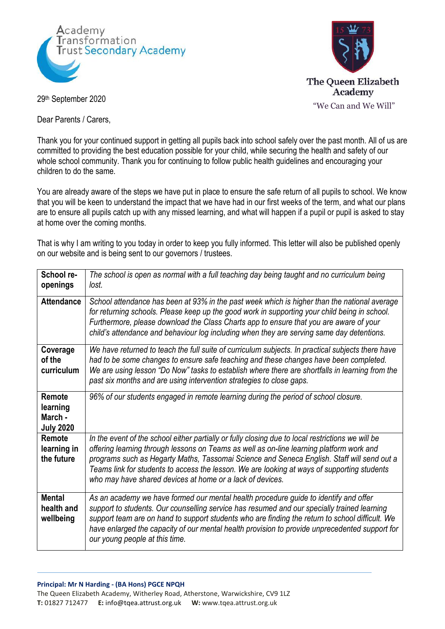



29th September 2020

Dear Parents / Carers.

Thank you for your continued support in getting all pupils back into school safely over the past month. All of us are committed to providing the best education possible for your child, while securing the health and safety of our whole school community. Thank you for continuing to follow public health quidelines and encouraging your children to do the same.

You are already aware of the steps we have put in place to ensure the safe return of all pupils to school. We know that you will be keen to understand the impact that we have had in our first weeks of the term, and what our plans are to ensure all pupils catch up with any missed learning, and what will happen if a pupil or pupil is asked to stay at home over the coming months.

That is why I am writing to you today in order to keep you fully informed. This letter will also be published openly on our website and is being sent to our governors / trustees.

| School re-<br>openings                            | The school is open as normal with a full teaching day being taught and no curriculum being<br>lost.                                                                                                                                                                                                                                                                                                                                                     |
|---------------------------------------------------|---------------------------------------------------------------------------------------------------------------------------------------------------------------------------------------------------------------------------------------------------------------------------------------------------------------------------------------------------------------------------------------------------------------------------------------------------------|
| <b>Attendance</b>                                 | School attendance has been at 93% in the past week which is higher than the national average<br>for returning schools. Please keep up the good work in supporting your child being in school.<br>Furthermore, please download the Class Charts app to ensure that you are aware of your<br>child's attendance and behaviour log including when they are serving same day detentions.                                                                    |
| Coverage<br>of the<br>curriculum                  | We have returned to teach the full suite of curriculum subjects. In practical subjects there have<br>had to be some changes to ensure safe teaching and these changes have been completed.<br>We are using lesson "Do Now" tasks to establish where there are shortfalls in learning from the<br>past six months and are using intervention strategies to close gaps.                                                                                   |
| Remote<br>learning<br>March -<br><b>July 2020</b> | 96% of our students engaged in remote learning during the period of school closure.                                                                                                                                                                                                                                                                                                                                                                     |
| Remote<br>learning in<br>the future               | In the event of the school either partially or fully closing due to local restrictions we will be<br>offering learning through lessons on Teams as well as on-line learning platform work and<br>programs such as Hegarty Maths, Tassomai Science and Seneca English. Staff will send out a<br>Teams link for students to access the lesson. We are looking at ways of supporting students<br>who may have shared devices at home or a lack of devices. |
| <b>Mental</b><br>health and<br>wellbeing          | As an academy we have formed our mental health procedure guide to identify and offer<br>support to students. Our counselling service has resumed and our specially trained learning<br>support team are on hand to support students who are finding the return to school difficult. We<br>have enlarged the capacity of our mental health provision to provide unprecedented support for<br>our young people at this time.                              |